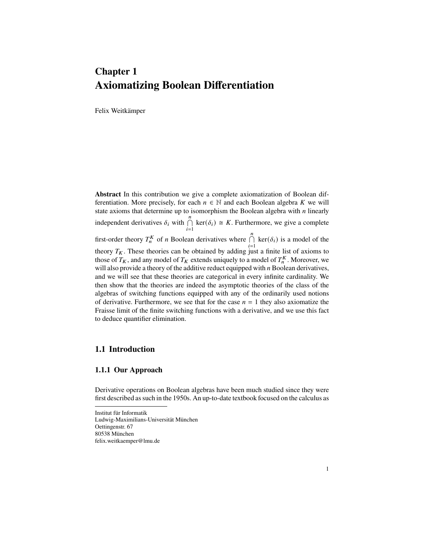# **Chapter 1 Axiomatizing Boolean Differentiation**

Felix Weitkämper

**Abstract** In this contribution we give a complete axiomatization of Boolean differentiation. More precisely, for each  $n \in \mathbb{N}$  and each Boolean algebra K we will state axioms that determine up to isomorphism the Boolean algebra with  $n$  linearly independent derivatives  $\delta_i$  with  $\bigcap_{i=1}^n$  $\ker(\delta_i) \cong K$ . Furthermore, we give a complete first-order theory  $T_n^K$  of *n* Boolean derivatives where  $\bigcap_{i=1}^n$  $\ker(\delta_i)$  is a model of the theory  $T_K$ . These theories can be obtained by adding just a finite list of axioms to those of  $T_K$ , and any model of  $T_K$  extends uniquely to a model of  $T_n^K$ . Moreover, we will also provide a theory of the additive reduct equipped with  $n$  Boolean derivatives, and we will see that these theories are categorical in every infinite cardinality. We then show that the theories are indeed the asymptotic theories of the class of the algebras of switching functions equipped with any of the ordinarily used notions of derivative. Furthermore, we see that for the case  $n = 1$  they also axiomatize the Fraisse limit of the finite switching functions with a derivative, and we use this fact to deduce quantifier elimination.

## **1.1 Introduction**

## **1.1.1 Our Approach**

Derivative operations on Boolean algebras have been much studied since they were first described as such in the 1950s. An up-to-date textbook focused on the calculus as

Institut für Informatik Ludwig-Maximilians-Universität München Oettingenstr. 67 80538 München felix.weitkaemper@lmu.de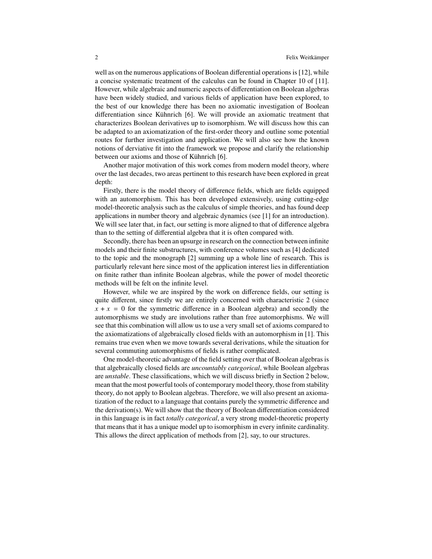well as on the numerous applications of Boolean differential operations is [\[12\]](#page-20-0), while a concise systematic treatment of the calculus can be found in Chapter 10 of [\[11\]](#page-20-1). However, while algebraic and numeric aspects of differentiation on Boolean algebras have been widely studied, and various fields of application have been explored, to the best of our knowledge there has been no axiomatic investigation of Boolean differentiation since Kühnrich [\[6\]](#page-20-2). We will provide an axiomatic treatment that characterizes Boolean derivatives up to isomorphism. We will discuss how this can be adapted to an axiomatization of the first-order theory and outline some potential routes for further investigation and application. We will also see how the known notions of derviative fit into the framework we propose and clarify the relationship between our axioms and those of Kühnrich [\[6\]](#page-20-2).

Another major motivation of this work comes from modern model theory, where over the last decades, two areas pertinent to this research have been explored in great depth:

Firstly, there is the model theory of difference fields, which are fields equipped with an automorphism. This has been developed extensively, using cutting-edge model-theoretic analysis such as the calculus of simple theories, and has found deep applications in number theory and algebraic dynamics (see [\[1\]](#page-19-0) for an introduction). We will see later that, in fact, our setting is more aligned to that of difference algebra than to the setting of differential algebra that it is often compared with.

Secondly, there has been an upsurge in research on the connection between infinite models and their finite substructures, with conference volumes such as [\[4\]](#page-20-3) dedicated to the topic and the monograph [\[2\]](#page-19-1) summing up a whole line of research. This is particularly relevant here since most of the application interest lies in differentiation on finite rather than infinite Boolean algebras, while the power of model theoretic methods will be felt on the infinite level.

However, while we are inspired by the work on difference fields, our setting is quite different, since firstly we are entirely concerned with characteristic 2 (since  $x + x = 0$  for the symmetric difference in a Boolean algebra) and secondly the automorphisms we study are involutions rather than free automorphisms. We will see that this combination will allow us to use a very small set of axioms compared to the axiomatizations of algebraically closed fields with an automorphism in [\[1\]](#page-19-0). This remains true even when we move towards several derivations, while the situation for several commuting automorphisms of fields is rather complicated.

One model-theoretic advantage of the field setting over that of Boolean algebras is that algebraically closed fields are *uncountably categorical*, while Boolean algebras are *unstable*. These classifications, which we will discuss briefly in Section 2 below, mean that the most powerful tools of contemporary model theory, those from stability theory, do not apply to Boolean algebras. Therefore, we will also present an axiomatization of the reduct to a language that contains purely the symmetric difference and the derivation(s). We will show that the theory of Boolean differentiation considered in this language is in fact *totally categorical*, a very strong model-theoretic property that means that it has a unique model up to isomorphism in every infinite cardinality. This allows the direct application of methods from [\[2\]](#page-19-1), say, to our structures.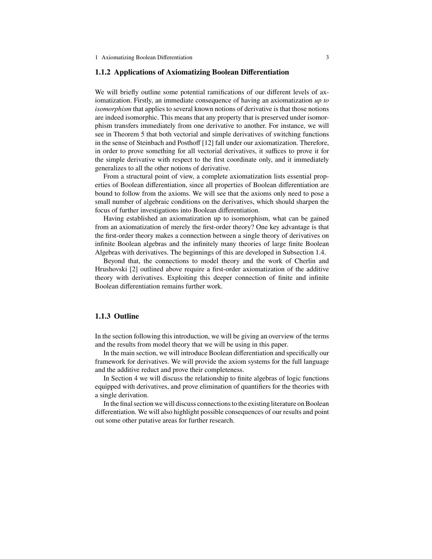#### **1.1.2 Applications of Axiomatizing Boolean Differentiation**

We will briefly outline some potential ramifications of our different levels of axiomatization. Firstly, an immediate consequence of having an axiomatization *up to isomorphism* that applies to several known notions of derivative is that those notions are indeed isomorphic. This means that any property that is preserved under isomorphism transfers immediately from one derivative to another. For instance, we will see in Theorem [5](#page-14-0) that both vectorial and simple derivatives of switching functions in the sense of Steinbach and Posthoff [\[12\]](#page-20-0) fall under our axiomatization. Therefore, in order to prove something for all vectorial derivatives, it suffices to prove it for the simple derivative with respect to the first coordinate only, and it immediately generalizes to all the other notions of derivative.

From a structural point of view, a complete axiomatization lists essential properties of Boolean differentiation, since all properties of Boolean differentiation are bound to follow from the axioms. We will see that the axioms only need to pose a small number of algebraic conditions on the derivatives, which should sharpen the focus of further investigations into Boolean differentiation.

Having established an axiomatization up to isomorphism, what can be gained from an axiomatization of merely the first-order theory? One key advantage is that the first-order theory makes a connection between a single theory of derivatives on infinite Boolean algebras and the infinitely many theories of large finite Boolean Algebras with derivatives. The beginnings of this are developed in Subsection [1.4.](#page-14-1)

Beyond that, the connections to model theory and the work of Cherlin and Hrushovski [\[2\]](#page-19-1) outlined above require a first-order axiomatization of the additive theory with derivatives. Exploiting this deeper connection of finite and infinite Boolean differentiation remains further work.

## **1.1.3 Outline**

In the section following this introduction, we will be giving an overview of the terms and the results from model theory that we will be using in this paper.

In the main section, we will introduce Boolean differentiation and specifically our framework for derivatives. We will provide the axiom systems for the full language and the additive reduct and prove their completeness.

In Section 4 we will discuss the relationship to finite algebras of logic functions equipped with derivatives, and prove elimination of quantifiers for the theories with a single derivation.

In the final section we will discuss connections to the existing literature on Boolean differentiation. We will also highlight possible consequences of our results and point out some other putative areas for further research.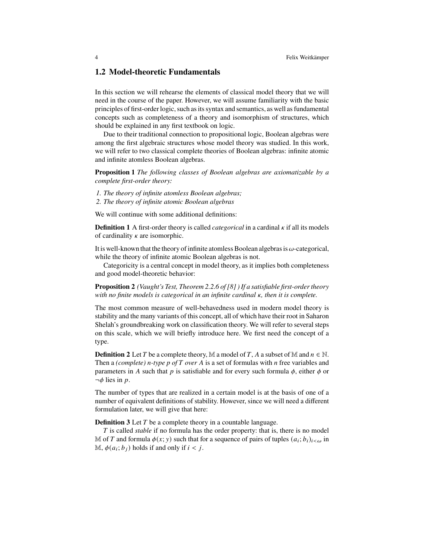## <span id="page-3-1"></span>**1.2 Model-theoretic Fundamentals**

In this section we will rehearse the elements of classical model theory that we will need in the course of the paper. However, we will assume familiarity with the basic principles of first-order logic, such as its syntax and semantics, as well as fundamental concepts such as completeness of a theory and isomorphism of structures, which should be explained in any first textbook on logic.

Due to their traditional connection to propositional logic, Boolean algebras were among the first algebraic structures whose model theory was studied. In this work, we will refer to two classical complete theories of Boolean algebras: infinite atomic and infinite atomless Boolean algebras.

**Proposition 1** *The following classes of Boolean algebras are axiomatizable by a complete first-order theory:*

- *1. The theory of infinite atomless Boolean algebras;*
- *2. The theory of infinite atomic Boolean algebras*

We will continue with some additional definitions:

**Definition 1** A first-order theory is called *categorical* in a cardinal  $\kappa$  if all its models of cardinality  $\kappa$  are isomorphic.

It is well-known that the theory of infinite atomless Boolean algebras is  $\omega$ -categorical, while the theory of infinite atomic Boolean algebras is not.

Categoricity is a central concept in model theory, as it implies both completeness and good model-theoretic behavior:

**Proposition 2** *(Vaught's Test, Theorem 2.2.6 of [\[8\]](#page-20-4) ) If a satisfiable first-order theory with no finite models is categorical in an infinite cardinal*  $\kappa$ *, then it is complete.* 

The most common measure of well-behavedness used in modern model theory is stability and the many variants of this concept, all of which have their root in Saharon Shelah's groundbreaking work on classification theory. We will refer to several steps on this scale, which we will briefly introduce here. We first need the concept of a type.

**Definition 2** Let T be a complete theory, M a model of T, A a subset of M and  $n \in \mathbb{N}$ . Then a *(complete) n*-type p of T over A is a set of formulas with *n* free variables and parameters in A such that  $p$  is satisfiable and for every such formula  $\phi$ , either  $\phi$  or  $\neg \phi$  lies in p.

<span id="page-3-0"></span>The number of types that are realized in a certain model is at the basis of one of a number of equivalent definitions of stability. However, since we will need a different formulation later, we will give that here:

**Definition 3** Let  $T$  be a complete theory in a countable language.

T is called *stable* if no formula has the order property: that is, there is no model M of T and formula  $\phi(x; y)$  such that for a sequence of pairs of tuples  $(a_i; b_i)_{i < \omega}$  in M,  $\phi(a_i; b_i)$  holds if and only if  $i < j$ .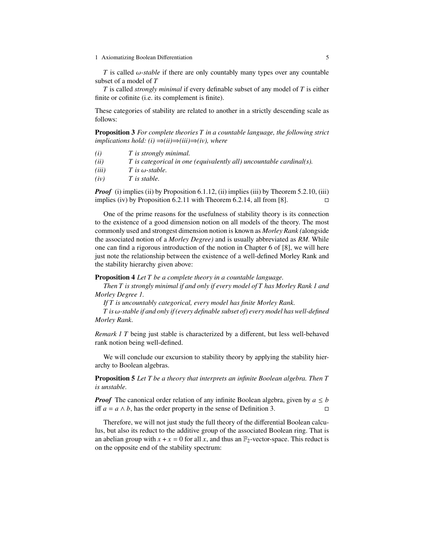$\overline{T}$  is called  $\omega$ -*stable* if there are only countably many types over any countable subset of a model of T

 $T$  is called *strongly minimal* if every definable subset of any model of  $T$  is either finite or cofinite (i.e. its complement is finite).

These categories of stability are related to another in a strictly descending scale as follows:

**Proposition 3** *For complete theories in a countable language, the following strict implications hold:*  $(i) ⇒ (ii) ⇒ (iii) ⇒ (iv)$ *, where* 

- *(i) is strongly minimal.*
- *(ii) is categorical in one (equivalently all) uncountable cardinal(s).*
- $(iii)$  *T is*  $\omega$ *-stable.*
- *(iv) is stable.*

*Proof* (i) implies (ii) by Proposition 6.1.12, (ii) implies (iii) by Theorem 5.2.10, (iii) implies (iv) by Proposition 6.2.11 with Theorem 6.2.14, all from [\[8\]](#page-20-4).  $\Box$ 

One of the prime reasons for the usefulness of stability theory is its connection to the existence of a good dimension notion on all models of the theory. The most commonly used and strongest dimension notion is known as *Morley Rank (*alongside the associated notion of a *Morley Degree)* and is usually abbreviated as *RM.* While one can find a rigorous introduction of the notion in Chapter 6 of [\[8\]](#page-20-4), we will here just note the relationship between the existence of a well-defined Morley Rank and the stability hierarchy given above:

### **Proposition 4** *Let T be a complete theory in a countable language.*

*Then is strongly minimal if and only if every model of has Morley Rank 1 and Morley Degree 1.*

*If is uncountably categorical, every model has finite Morley Rank.*

 $T$  *is*  $\omega$ -stable if and only if (every definable subset of) every model has well-defined *Morley Rank.*

*Remark 1 T* being just stable is characterized by a different, but less well-behaved rank notion being well-defined.

We will conclude our excursion to stability theory by applying the stability hierarchy to Boolean algebras.

**Proposition 5** *Let T be a theory that interprets an infinite Boolean algebra. Then is unstable.*

*Proof* The canonical order relation of any infinite Boolean algebra, given by  $a \leq b$ iff  $a = a \wedge b$ , has the order property in the sense of Definition [3.](#page-3-0)

Therefore, we will not just study the full theory of the differential Boolean calculus, but also its reduct to the additive group of the associated Boolean ring. That is an abelian group with  $x + x = 0$  for all x, and thus an  $\mathbb{F}_2$ -vector-space. This reduct is on the opposite end of the stability spectrum: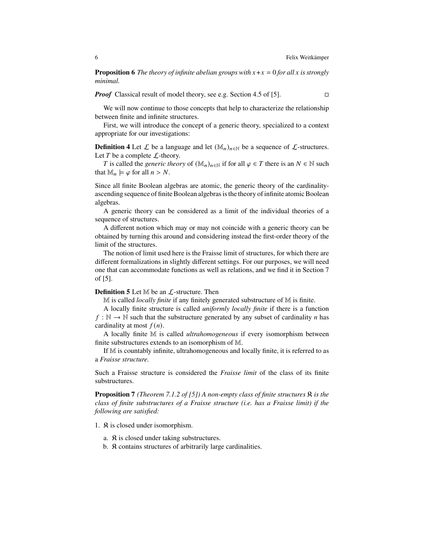**Proposition 6** *The theory of infinite abelian groups with*  $x + x = 0$  *for all*  $x$  *is strongly minimal.*

*Proof* Classical result of model theory, see e.g. Section 4.5 of [\[5\]](#page-20-5). □

We will now continue to those concepts that help to characterize the relationship between finite and infinite structures.

<span id="page-5-0"></span>First, we will introduce the concept of a generic theory, specialized to a context appropriate for our investigations:

**Definition 4** Let  $\mathcal{L}$  be a language and let  $(\mathbb{M}_n)_{n \in \mathbb{N}}$  be a sequence of  $\mathcal{L}$ -structures. Let  $T$  be a complete  $\mathcal{L}$ -theory.

*T* is called the *generic theory* of  $(\mathbb{M}_n)_{n\in\mathbb{N}}$  if for all  $\varphi \in T$  there is an  $N \in \mathbb{N}$  such that  $\mathbb{M}_n \models \varphi$  for all  $n > N$ .

Since all finite Boolean algebras are atomic, the generic theory of the cardinalityascending sequence of finite Boolean algebras is the theory of infinite atomic Boolean algebras.

A generic theory can be considered as a limit of the individual theories of a sequence of structures.

A different notion which may or may not coincide with a generic theory can be obtained by turning this around and considering instead the first-order theory of the limit of the structures.

The notion of limit used here is the Fraisse limit of structures, for which there are different formalizations in slightly different settings. For our purposes, we will need one that can accommodate functions as well as relations, and we find it in Section 7 of [\[5\]](#page-20-5).

#### **Definition 5** Let M be an  $\mathcal{L}$ -structure. Then

M is called *locally finite* if any finitely generated substructure of M is finite.

A locally finite structure is called *uniformly locally finite* if there is a function  $f : \mathbb{N} \to \mathbb{N}$  such that the substructure generated by any subset of cardinality *n* has cardinality at most  $f(n)$ .

A locally finite M is called *ultrahomogeneous* if every isomorphism between finite substructures extends to an isomorphism of M.

If M is countably infinite, ultrahomogeneous and locally finite, it is referred to as a *Fraisse structure.*

Such a Fraisse structure is considered the *Fraisse limit* of the class of its finite substructures.

**Proposition 7** *(Theorem 7.1.2 of [\[5\]](#page-20-5)) A non-empty class of finite structures is the class of finite substructures of a Fraisse structure (i.e. has a Fraisse limit) if the following are satisfied:*

1.  $\Re$  is closed under isomorphism.

- a.  $\Re$  is closed under taking substructures.
- b.  $\Re$  contains structures of arbitrarily large cardinalities.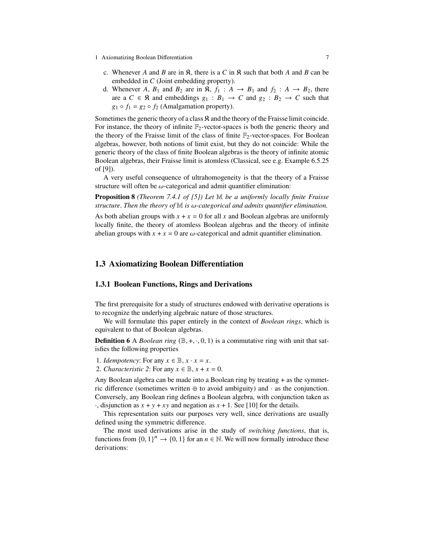- 1 Axiomatizing Boolean Differentiation 7
	- c. Whenever A and B are in  $\Re$ , there is a C in  $\Re$  such that both A and B can be embedded in  $C$  (Joint embedding property).
	- d. Whenever A,  $B_1$  and  $B_2$  are in  $\Re$ ,  $f_1 : A \rightarrow B_1$  and  $f_2 : A \rightarrow B_2$ , there are a  $C \in \mathbb{R}$  and embeddings  $g_1 : B_1 \to C$  and  $g_2 : B_2 \to C$  such that  $g_1 \circ f_1 = g_2 \circ f_2$  (Amalgamation property).

Sometimes the generic theory of a class  $\Re$  and the theory of the Fraisse limit coincide. For instance, the theory of infinite  $\mathbb{F}_2$ -vector-spaces is both the generic theory and the theory of the Fraisse limit of the class of finite  $\mathbb{F}_2$ -vector-spaces. For Boolean algebras, however, both notions of limit exist, but they do not coincide: While the generic theory of the class of finite Boolean algebras is the theory of infinite atomic Boolean algebras, their Fraisse limit is atomless (Classical, see e.g. Example 6.5.25 of [\[9\]](#page-20-6)).

<span id="page-6-1"></span>A very useful consequence of ultrahomogeneity is that the theory of a Fraisse structure will often be  $\omega$ -categorical and admit quantifier elimination:

**Proposition 8** *(Theorem 7.4.1 of [\[5\]](#page-20-5)) Let* M *be a uniformly locally finite Fraisse*  $structure.$  Then the theory of  $M$  *is*  $\omega$ -categorical and admits quantifier elimination.

As both abelian groups with  $x + x = 0$  for all x and Boolean algebras are uniformly locally finite, the theory of atomless Boolean algebras and the theory of infinite abelian groups with  $x + x = 0$  are  $\omega$ -categorical and admit quantifier elimination.

## **1.3 Axiomatizing Boolean Differentiation**

### <span id="page-6-0"></span>**1.3.1 Boolean Functions, Rings and Derivations**

The first prerequisite for a study of structures endowed with derivative operations is to recognize the underlying algebraic nature of those structures.

We will formulate this paper entirely in the context of *Boolean rings*, which is equivalent to that of Boolean algebras.

**Definition 6** A *Boolean ring*  $(\mathbb{B}, +, \cdot, 0, 1)$  is a commutative ring with unit that satisfies the following properties

1. *Idempotency*: For any  $x \in \mathbb{B}$ ,  $x \cdot x = x$ .

2. *Characteristic 2*: For any  $x \in \mathbb{B}$ ,  $x + x = 0$ .

Any Boolean algebra can be made into a Boolean ring by treating + as the symmetric difference (sometimes written  $oplus$  to avoid ambiguity) and  $\cdot$  as the conjunction. Conversely, any Boolean ring defines a Boolean algebra, with conjunction taken as  $\cdot$ , disjunction as  $x + y + xy$  and negation as  $x + 1$ . See [\[10\]](#page-20-7) for the details.

This representation suits our purposes very well, since derivations are usually defined using the symmetric difference.

The most used derivations arise in the study of *switching functions*, that is, functions from  $\{0, 1\}^n \to \{0, 1\}$  for an  $n \in \mathbb{N}$ . We will now formally introduce these derivations: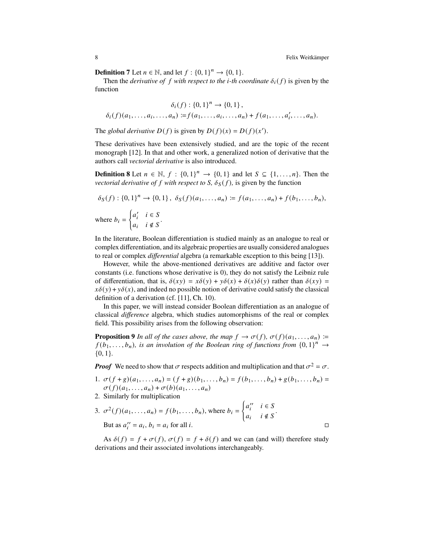**Definition 7** Let  $n \in \mathbb{N}$ , and let  $f : \{0, 1\}^n \to \{0, 1\}$ .

Then the *derivative of*  $f$  *with respect to the i-th coordinate*  $\delta_i(f)$  is given by the function

<span id="page-7-1"></span>
$$
\delta_i(f) : \{0,1\}^n \to \{0,1\},
$$
  

$$
\delta_i(f)(a_1, \ldots, a_i, \ldots, a_n) := f(a_1, \ldots, a_i, \ldots, a_n) + f(a_1, \ldots, a'_i, \ldots, a_n).
$$

The *global derivative*  $D(f)$  is given by  $D(f)(x) = D(f)(x')$ .

These derivatives have been extensively studied, and are the topic of the recent monograph [\[12\]](#page-20-0). In that and other work, a generalized notion of derivative that the authors call *vectorial derivative* is also introduced.

**Definition 8** Let  $n \in \mathbb{N}$ ,  $f : \{0, 1\}^n \rightarrow \{0, 1\}$  and let  $S \subseteq \{1, ..., n\}$ . Then the *vectorial derivative of*  $f$  *with respect to*  $S$ *,*  $\delta_S(f)$ *,* is given by the function

$$
\delta_S(f) : \{0, 1\}^n \to \{0, 1\}, \ \delta_S(f)(a_1, \dots, a_n) \coloneqq f(a_1, \dots, a_n) + f(b_1, \dots, b_n),
$$
  
where  $b_i = \begin{cases} a'_i & i \in S \\ a_i & i \notin S \end{cases}$ .

In the literature, Boolean differentiation is studied mainly as an analogue to real or complex differentiation, and its algebraic properties are usually considered analogues to real or complex *differential* algebra (a remarkable exception to this being [\[13\]](#page-20-8)).

However, while the above-mentioned derivatives are additive and factor over constants (i.e. functions whose derivative is 0), they do not satisfy the Leibniz rule of differentiation, that is,  $\delta(xy) = x\delta(y) + y\delta(x) + \delta(x)\delta(y)$  rather than  $\delta(xy) =$  $x\delta(y) + y\delta(x)$ , and indeed no possible notion of derivative could satisfy the classical definition of a derivation (cf. [\[11\]](#page-20-1), Ch. 10).

<span id="page-7-0"></span>In this paper, we will instead consider Boolean differentiation as an analogue of classical *difference* algebra, which studies automorphisms of the real or complex field. This possibility arises from the following observation:

**Proposition 9** *In all of the cases above, the map*  $f \to \sigma(f)$ ,  $\sigma(f)(a_1, \ldots, a_n)$  =  $f(b_1, \ldots, b_n)$ , is an involution of the Boolean ring of functions from  $\{0, 1\}^n \to$ {0, 1}*.*

*Proof* We need to show that  $\sigma$  respects addition and multiplication and that  $\sigma^2 = \sigma$ .

- 1.  $\sigma(f + g)(a_1, \ldots, a_n) = (f + g)(b_1, \ldots, b_n) = f(b_1, \ldots, b_n) + g(b_1, \ldots, b_n) =$  $\sigma(f)(a_1,\ldots,a_n)+\sigma(b)(a_1,\ldots,a_n)$
- 2. Similarly for multiplication

3. 
$$
\sigma^2(f)(a_1, \ldots, a_n) = f(b_1, \ldots, b_n)
$$
, where  $b_i = \begin{cases} a''_i & i \in S \\ a_i & i \notin S \end{cases}$ .  
But as  $a''_i = a_i, b_i = a_i$  for all *i*.

As  $\delta(f) = f + \sigma(f)$ ,  $\sigma(f) = f + \delta(f)$  and we can (and will) therefore study derivations and their associated involutions interchangeably.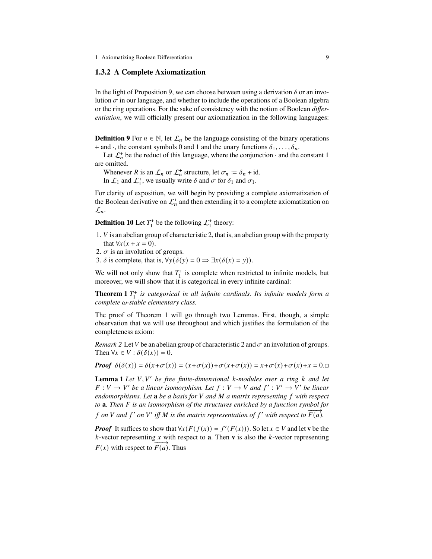#### <span id="page-8-3"></span>**1.3.2 A Complete Axiomatization**

In the light of Proposition [9,](#page-7-0) we can choose between using a derivation  $\delta$  or an involution  $\sigma$  in our language, and whether to include the operations of a Boolean algebra or the ring operations. For the sake of consistency with the notion of Boolean *differentiation*, we will officially present our axiomatization in the following languages:

**Definition 9** For  $n \in \mathbb{N}$ , let  $\mathcal{L}_n$  be the language consisting of the binary operations + and  $\cdot$ , the constant symbols 0 and 1 and the unary functions  $\delta_1, \ldots, \delta_n$ .

Let  $\mathcal{L}_n^+$  be the reduct of this language, where the conjunction  $\cdot$  and the constant 1 are omitted.

Whenever R is an  $\mathcal{L}_n$  or  $\mathcal{L}_n^+$  structure, let  $\sigma_n := \delta_n + id$ .

In  $\mathcal{L}_1$  and  $\mathcal{L}_1^+$ , we usually write  $\delta$  and  $\sigma$  for  $\delta_1$  and  $\sigma_1$ .

For clarity of exposition, we will begin by providing a complete axiomatization of the Boolean derivative on  $\mathcal{L}_n^+$  and then extending it to a complete axiomatization on  $\mathcal{L}_n$ .

**Definition 10** Let  $T_1^+$  be the following  $\mathcal{L}_1^+$  theory:

- 1.  $V$  is an abelian group of characteristic 2, that is, an abelian group with the property that  $\forall x (x + x = 0)$ .
- 2.  $\sigma$  is an involution of groups.
- <span id="page-8-0"></span>3.  $\delta$  is complete, that is,  $\forall y(\delta(y) = 0 \Rightarrow \exists x(\delta(x) = y)).$

We will not only show that  $T_1^+$  is complete when restricted to infinite models, but moreover, we will show that it is categorical in every infinite cardinal:

**Theorem 1**  $T_1^+$  *is categorical in all infinite cardinals. Its infinite models form a complete -stable elementary class.*

<span id="page-8-2"></span>The proof of Theorem [1](#page-8-0) will go through two Lemmas. First, though, a simple observation that we will use throughout and which justifies the formulation of the completeness axiom:

*Remark 2* Let *V* be an abelian group of characteristic 2 and  $\sigma$  an involution of groups. Then  $\forall x \in V : \delta(\delta(x)) = 0$ .

**Proof**  $\delta(\delta(x)) = \delta(x+\sigma(x)) = (x+\sigma(x))+\sigma(x+\sigma(x)) = x+\sigma(x)+\sigma(x)+x = 0.$ 

<span id="page-8-1"></span>**Lemma 1** *Let* V, V' *be free finite-dimensional k-modules over a ring k and let*  $F: V \to V'$  be a linear isomorphism. Let  $f: V \to V$  and  $f': V' \to V'$  be linear *endomorphisms. Let* **a** *be a basis for and a matrix representing with respect to* **a***. Then is an isomorphism of the structures enriched by a function symbol for o* **a** *i and*  $f'$  *on*  $V'$  *iff*  $M$  *is the matrix representation of*  $f'$  *with respect to*  $\overline{F(a)}$ *.* 

*Proof* It suffices to show that  $\forall x (F(f(x))) = f'(F(x))$ . So let  $x \in V$  and let **v** be the  $k$ -vector representing  $x$  with respect to **a**. Then **v** is also the  $k$ -vector representing  $F(x)$  with respect to  $\overrightarrow{F(a)}$ . Thus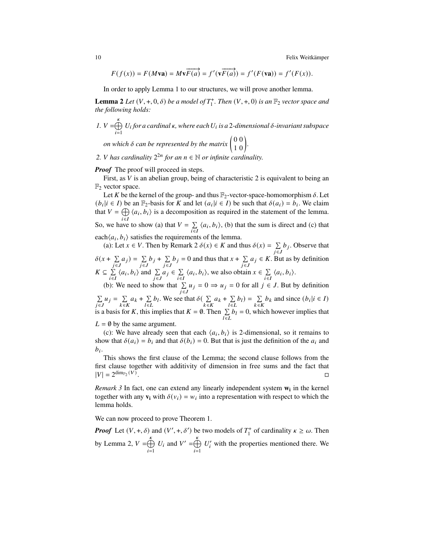10 Felix Weitkämper

<span id="page-9-0"></span>
$$
F(f(x)) = F(M\mathbf{va}) = M\mathbf{v}\overrightarrow{F(a)} = f'(\mathbf{v}\overrightarrow{F(a)}) = f'(F(\mathbf{va})) = f'(F(x)).
$$

In order to apply Lemma [1](#page-8-1) to our structures, we will prove another lemma.

**Lemma 2** Let  $(V, +, 0, \delta)$  be a model of  $T_1^+$ . Then  $(V, +, 0)$  is an  $\mathbb{F}_2$  vector space and *the following holds:*

*I.* 
$$
V = \bigoplus_{i=1}^{k} U_i
$$
 for a cardinal  $\kappa$ , where each  $U_i$  is a 2-dimensional  $\delta$ -invariant subspace  
on which  $\delta$  can be represented by the matrix  $\begin{pmatrix} 0 & 0 \\ 1 & 0 \end{pmatrix}$ .

2. *V* has cardinality  $2^{2n}$  for an  $n \in \mathbb{N}$  or infinite cardinality.

#### *Proof* The proof will proceed in steps.

First, as  $V$  is an abelian group, being of characteristic 2 is equivalent to being an  $\mathbb{F}_2$  vector space.

Let K be the kernel of the group- and thus  $\mathbb{F}_2$ -vector-space-homomorphism  $\delta$ . Let  $(b_i | i \in I)$  be an  $\mathbb{F}_2$ -basis for K and let  $(a_i | i \in I)$  be such that  $\delta(a_i) = b_i$ . We claim that  $V = \bigoplus$  $i \in I$  $\langle a_i, b_i \rangle$  is a decomposition as required in the statement of the lemma. So, we have to show (a) that  $V = \sum_{i \in I} \langle a_i, b_i \rangle$ , (b) that the sum is direct and (c) that each $\langle a_i, b_i \rangle$  satisfies the requirements of the lemma.

(a): Let  $x \in V$ . Then by Remark [2](#page-8-2)  $\delta(x) \in K$  and thus  $\delta(x) = \sum_{j \in J} b_j$ . Observe that  $\delta(x + \sum_{j \in J} a_j) = \sum_{j \in J} b_j + \sum_{j \in J} b_j = 0$  and thus that  $x + \sum_{j \in J} a_j \in K$ . But as by definition  $K \subseteq \sum_{i \in I} \langle a_i, b_i \rangle$  and  $\sum_{j \in J} a_j \in \sum_{i \in I} \langle a_i, b_i \rangle$ , we also obtain  $x \in \sum_{i \in I} \langle a_i, b_i \rangle$ .

(b): We need to show that  $\sum_{j \in J} u_j = 0 \Rightarrow u_j = 0$  for all  $j \in J$ . But by definition

 $\sum_{j \in J} u_j = \sum_{k \in K} a_k + \sum_{l \in L}$  $b_l$ . We see that  $\delta(\sum_{k \in K} a_k + \sum_{l \in L} b_l) = \sum_{k \in K} b_k$  and since  $(b_i | i \in I)$ is a basis for K, this implies that  $K = \emptyset$ . Then  $\sum_{l \in L} b_l = 0$ , which however implies that

 $L = \emptyset$  by the same argument.

(c): We have already seen that each  $\langle a_i, b_i \rangle$  is 2-dimensional, so it remains to show that  $\delta(a_i) = b_i$  and that  $\delta(b_i) = 0$ . But that is just the definition of the  $a_i$  and  $b_i$ .

This shows the first clause of the Lemma; the second clause follows from the first clause together with additivity of dimension in free sums and the fact that  $|V| = 2^{\dim_{\mathbb{F}_2}(V)}$ .

*Remark 3* In fact, one can extend any linearly independent system **w<sup>i</sup>** in the kernel together with any  $\mathbf{v}_i$  with  $\delta(v_i) = w_i$  into a representation with respect to which the lemma holds.

We can now proceed to prove Theorem [1.](#page-8-0)

*Proof* Let  $(V, +, \delta)$  and  $(V', +, \delta')$  be two models of  $T_1^+$  of cardinality  $\kappa \ge \omega$ . Then by Lemma [2,](#page-9-0)  $V = \bigoplus_{k=1}^{k} V_k$  $i=1$  $U_i$  and  $V' = \bigoplus_{k=1}^{k} V_k$  $i=1$  $U_i'$  with the properties mentioned there. We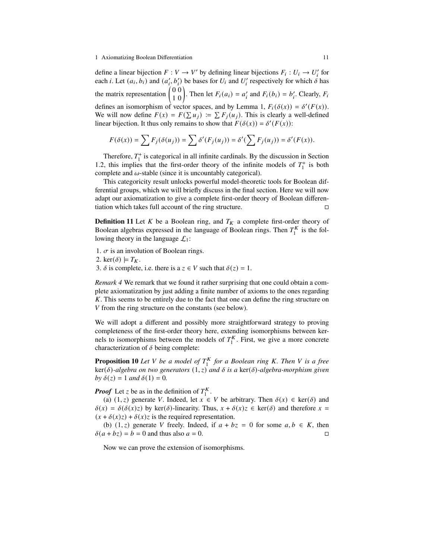define a linear bijection  $F: V \to V'$  by defining linear bijections  $F_i: U_i \to U'_i$  for each *i*. Let  $(a_i, b_i)$  and  $(a'_i, b'_i)$  be bases for  $U_i$  and  $U'_i$  respectively for which  $\delta$  has the matrix representation  $\begin{pmatrix} 0 & 0 \\ 1 & 0 \end{pmatrix}$ . Then let  $F_i(a_i) = a'_i$  and  $F_i(b_i) = b'_i$ . Clearly,  $F_i$ defines an isomorphism of vector spaces, and by Lemma [1,](#page-8-1)  $F_i(\delta(x)) = \delta'(F(x))$ . We will now define  $F(x) = F(\sum u_i) := \sum F_i(u_i)$ . This is clearly a well-defined linear bijection. It thus only remains to show that  $F(\delta(x)) = \delta'(F(x))$ :

$$
F(\delta(x)) = \sum F_j(\delta(u_j)) = \sum \delta'(F_j(u_j)) = \delta'(\sum F_j(u_j)) = \delta'(F(x)).
$$

Therefore,  $T_1^+$  is categorical in all infinite cardinals. By the discussion in Section [1.2,](#page-3-1) this implies that the first-order theory of the infinite models of  $T_1^+$  is both complete and  $\omega$ -stable (since it is uncountably categorical).

This categoricity result unlocks powerful model-theoretic tools for Boolean differential groups, which we will briefly discuss in the final section. Here we will now adapt our axiomatization to give a complete first-order theory of Boolean differentiation which takes full account of the ring structure.

**Definition 11** Let K be a Boolean ring, and  $T_K$  a complete first-order theory of Boolean algebras expressed in the language of Boolean rings. Then  $T_1^K$  is the following theory in the language  $\mathcal{L}_1$ :

1.  $\sigma$  is an involution of Boolean rings.

2. ker $(\delta) \models T_K$ .

3.  $\delta$  is complete, i.e. there is a  $z \in V$  such that  $\delta(z) = 1$ .

*Remark 4* We remark that we found it rather surprising that one could obtain a complete axiomatization by just adding a finite number of axioms to the ones regarding . This seems to be entirely due to the fact that one can define the ring structure on  $V$  from the ring structure on the constants (see below).

We will adopt a different and possibly more straightforward strategy to proving completeness of the first-order theory here, extending isomorphisms between kernels to isomorphisms between the models of  $T_1^K$ . First, we give a more concrete characterization of  $\delta$  being complete:

<span id="page-10-1"></span>**Proposition 10** *Let*  $V$  *be a model of*  $T_1^K$  *for a Boolean ring*  $K$ *. Then*  $V$  *is a free*  $\ker(\delta)$ -algebra on two generators  $(1, z)$  and  $\delta$  is a  $\ker(\delta)$ -algebra-morphism given *by*  $\delta(z) = 1$  *and*  $\delta(1) = 0$ *.* 

*Proof* Let z be as in the definition of  $T_1^K$ .

(a) (1, z) generate V. Indeed, let  $x \in V$  be arbitrary. Then  $\delta(x) \in \text{ker}(\delta)$  and  $\delta(x) = \delta(\delta(x)z)$  by ker( $\delta$ )-linearity. Thus,  $x + \delta(x)z \in \text{ker}(\delta)$  and therefore  $x =$  $(x + \delta(x)z) + \delta(x)z$  is the required representation.

(b) (1, z) generate V freely. Indeed, if  $a + bz = 0$  for some  $a, b \in K$ , then  $\delta(a + bz) = b = 0$  and thus also  $a = 0$ .

<span id="page-10-0"></span>Now we can prove the extension of isomorphisms.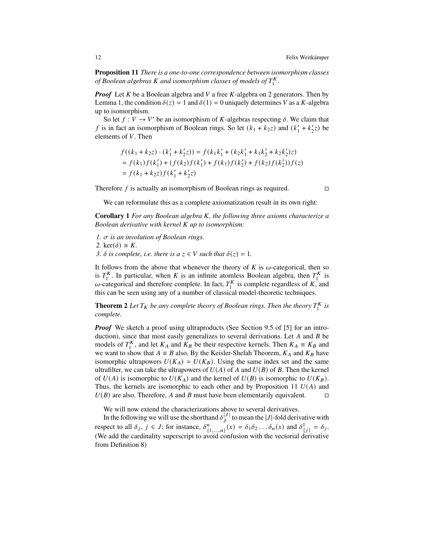**Proposition 11** *There is a one-to-one correspondence between isomorphism classes* of Boolean algebras *K* and isomorphism classes of models of  $T_1^K$ .

*Proof* Let K be a Boolean algebra and V a free K-algebra on 2 generators. Then by Lemma [1,](#page-8-1) the condition  $\delta(z) = 1$  and  $\delta(1) = 0$  uniquely determines V as a K-algebra up to isomorphism.

So let  $f: V \to V'$  be an isomorphism of K-algebras respecting  $\delta$ . We claim that f is in fact an isomorphism of Boolean rings. So let  $(k_1 + k_2 z)$  and  $(k_1' + k_2' z)$  be elements of  $V$ . Then

$$
f((k_1 + k_2 z) \cdot (k'_1 + k'_2 z)) = f(k_1 k'_1 + (k_2 k'_1 + k_1 k'_2 + k_2 k'_2) z)
$$
  
=  $f(k_1) f(k'_1) + (f(k_2) f(k'_1) + f(k_1) f(k'_2) + f(k_2) f(k'_2)) f(z)$   
=  $f(k_1 + k_2 z) f(k'_1 + k'_2 z)$ 

Therefore f is actually an isomorphism of Boolean rings as required.  $\Box$ 

We can reformulate this as a complete axiomatization result in its own right:

**Corollary 1** *For any Boolean algebra , the following three axioms characterize a Boolean derivative with kernel up to isomorphism:*

- *1. is an involution of Boolean rings.*
- 2. ker( $\delta$ )  $\cong$  *K*.
- *3.*  $\delta$  *is complete, i.e. there is a*  $z \in V$  *such that*  $\delta(z) = 1$ *.*

It follows from the above that whenever the theory of  $K$  is  $\omega$ -categorical, then so is  $T_1^K$ . In particular, when K is an infinite atomless Boolean algebra, then  $T_1^K$  is  $\omega$ -categorical and therefore complete. In fact,  $T_1^K$  is complete regardless of K, and this can be seen using any of a number of classical model-theoretic techniques.

**Theorem 2** Let  $T_K$  be any complete theory of Boolean rings. Then the theory  $T_1^K$  is *complete.*

*Proof* We sketch a proof using ultraproducts (See Section 9.5 of [\[5\]](#page-20-5) for an introduction), since that most easily generalizes to several derivations. Let  $A$  and  $B$  be models of  $T_1^K$ , and let  $K_A$  and  $K_B$  be their respective kernels. Then  $K_A \equiv K_B$  and we want to show that  $A \equiv B$  also. By the Keisler-Shelah Theorem,  $K_A$  and  $K_B$  have isomorphic ultrapowers  $U(K_A) \simeq U(K_B)$ . Using the same index set and the same ultrafilter, we can take the ultrapowers of  $U(A)$  of A and  $U(B)$  of B. Then the kernel of  $U(A)$  is isomorphic to  $U(K_A)$  and the kernel of  $U(B)$  is isomorphic to  $U(K_B)$ . Thus, the kernels are isomorphic to each other and by Proposition [11](#page-10-0)  $U(A)$  and  $U(B)$  are also. Therefore, A and B must have been elementarily equivalent.  $\square$ 

We will now extend the characterizations above to several derivatives.

In the following we will use the shorthand  $\delta_J^{[J]}$  to mean the |J|-fold derivative with respect to all  $\delta_j$ ,  $j \in J$ ; for instance,  $\delta_{\{1,...,n\}}^n(x) = \delta_1 \delta_2 ... \delta_n(x)$  and  $\delta_{\{j\}}^1 = \delta_j$ . (We add the cardinality superscript to avoid confusion with the vectorial derivative from Definition [8\)](#page-7-1)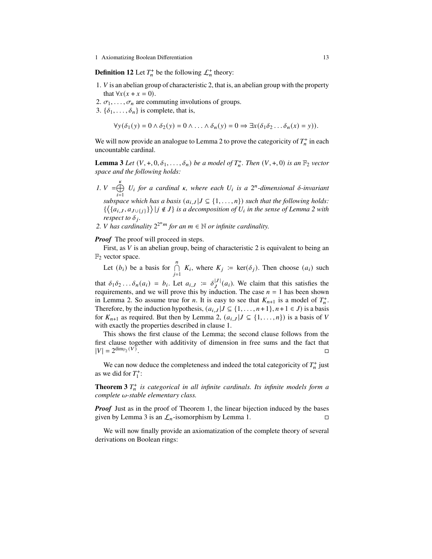**Definition 12** Let  $T_n^+$  be the following  $\mathcal{L}_n^+$  theory:

- 1.  $V$  is an abelian group of characteristic 2, that is, an abelian group with the property that  $\forall x (x + x = 0)$ .
- 2.  $\sigma_1, \ldots, \sigma_n$  are commuting involutions of groups.
- 3.  $\{\delta_1, \ldots, \delta_n\}$  is complete, that is,

<span id="page-12-0"></span>
$$
\forall y(\delta_1(y) = 0 \land \delta_2(y) = 0 \land \ldots \land \delta_n(y) = 0 \Rightarrow \exists x(\delta_1 \delta_2 \ldots \delta_n(x) = y)).
$$

We will now provide an analogue to Lemma [2](#page-9-0) to prove the categoricity of  $T_n^+$  in each uncountable cardinal.

**Lemma 3** *Let*  $(V, +, 0, \delta_1, \ldots, \delta_n)$  *be a model of*  $T_n^+$ *. Then*  $(V, +, 0)$  *is an*  $\mathbb{F}_2$  *vector space and the following holds:*

- *1.*  $V = \bigoplus_{k=1}^{k} V_k$  $i=1$  $U_i$  for a cardinal  $\kappa$ , where each  $U_i$  is a  $2^n$ -dimensional  $\delta$ -invariant *subspace which has a basis*  $(a_{i,J} | J \subseteq \{1, ..., n\})$  *such that the following holds:*  $\{\langle \{a_{i,J}, a_{J\cup\{j\}}\} \rangle | j \notin J \}$  is a decomposition of  $U_i$  in the sense of Lemma [2](#page-9-0) with *respect to*  $\delta_i$ *.*
- 2. *V* has cardinality  $2^{2^n m}$  for an  $m \in \mathbb{N}$  or infinite cardinality.

#### *Proof* The proof will proceed in steps.

First, as  $V$  is an abelian group, being of characteristic 2 is equivalent to being an  $\mathbb{F}_2$  vector space.

Let  $(b_i)$  be a basis for  $\bigcap_{j=1}^n$  $K_i$ , where  $K_i := \text{ker}(\delta_i)$ . Then choose  $(a_i)$  such

that  $\delta_1 \delta_2 \dots \delta_n(a_i) = b_i$ . Let  $a_{i,J} := \delta_j^{|J|}(a_i)$ . We claim that this satisfies the requirements, and we will prove this by induction. The case  $n = 1$  has been shown in Lemma [2.](#page-9-0) So assume true for *n*. It is easy to see that  $K_{n+1}$  is a model of  $T_n^+$ . Therefore, by the induction hypothesis,  $(a_{i,J} | J \subseteq \{1, ..., n+1\}, n+1 \in J)$  is a basis for  $K_{n+1}$  as required. But then by Lemma [2,](#page-9-0)  $(a_{i,J} | J \subseteq \{1, ..., n\})$  is a basis of V with exactly the properties described in clause 1.

This shows the first clause of the Lemma; the second clause follows from the first clause together with additivity of dimension in free sums and the fact that  $|V| = 2^{\dim_{\mathbb{F}_2}(V)}$ .

We can now deduce the completeness and indeed the total categoricity of  $T_n^+$  just as we did for  $T_1^+$ :

**Theorem 3**  $T_n^+$  is categorical in all infinite cardinals. Its infinite models form a *complete* ω-stable elementary class.

*Proof* Just as in the proof of Theorem [1,](#page-8-0) the linear bijection induced by the bases given by Lemma [3](#page-12-0) is an  $\mathcal{L}_n$ -isomorphism by Lemma [1.](#page-8-1)

We will now finally provide an axiomatization of the complete theory of several derivations on Boolean rings: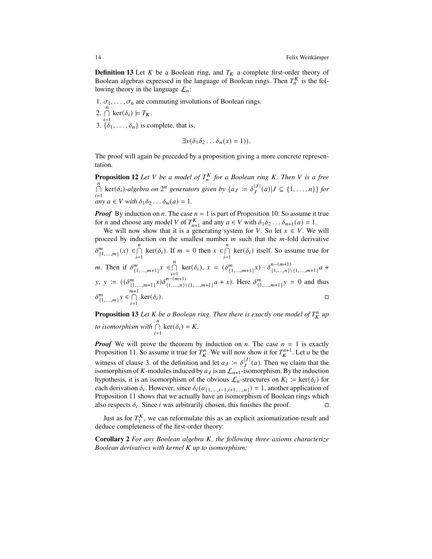**Definition 13** Let  $K$  be a Boolean ring, and  $T_K$  a complete first-order theory of Boolean algebras expressed in the language of Boolean rings. Then  $T_n^K$  is the following theory in the language  $\mathcal{L}_n$ :

- 1.  $\sigma_1, \ldots, \sigma_n$  are commuting involutions of Boolean rings.
- 2.  $\bigcap_{i=1}^{n} \ker(\delta_i) \models T_K$ . 3.  $\{\delta_1, \ldots, \delta_n\}$  is complete, that is,

$$
\exists x(\delta_1\delta_2\ldots\delta_n(x)=1)).
$$

The proof will again be preceded by a proposition giving a more concrete representation.

**Proposition 12** Let V be a model of  $T_h^K$  for a Boolean ring K. Then V is a free  $\bigcap_{i=1}^{n}$  ker( $\delta_i$ )-algebra on  $2^n$  generators given by {a<sub>J</sub> :=  $\delta_J^{|J|}(a)|J \subseteq \{1,\ldots,n\}$ } for *any*  $a \in V$  *with*  $\delta_1 \delta_2 \ldots \delta_n(a) = 1$ *.* 

*Proof* By induction on *n*. The case  $n = 1$  is part of Proposition [10.](#page-10-1) So assume it true for *n* and choose any model *V* of  $T_{n+1}^K$  and any  $a \in V$  with  $\delta_1 \delta_2 \dots \delta_{n+1} (a) = 1$ .

We will now show that it is a generating system for V. So let  $x \in V$ . We will proceed by induction on the smallest number  $m$  such that the  $m$ -fold derivative  $\delta_{\{1,\ldots,m\}}^m(x) \in \bigcap_{i=1}^n \ker(\delta_i)$ . If  $m = 0$  then  $x \in \bigcap_{i=1}^n$  $\ker(\delta_i)$  itself. So assume true for *m*. Then if  $\delta_{\{1,\ldots,m+1\}}^m x \in \bigcap_{i=1}^n \ker(\delta_i), x = (\delta_{\{1,\ldots,m+1\}}^m x) \cdot \delta_{\{1,\ldots,n\}}^{n-(m+1)}$  $\{1,...,n\}\$ {1,...,m+1}<sup>a</sup> + y, y :=  $((\delta^m_{\{1,\ldots,m+1\}} x)\delta^{n-(m+1)}_{\{1,\ldots,n\}})$  ${n-(m+1)}$ <br>{1,...,n}\{1,...,m+1}</sub>  $a + x$ . Here  $\delta_{\{1,...,m+1\}}^m y = 0$  and thus  $\delta^m_{\{1,\ldots,m\}}$ y  $\in \bigcap_{i=1}^{m+1}$  $\ker(\delta_i)$ .

**Proposition 13** Let K be a Boolean ring. Then there is exactly one model of  $T_K^n$  up *to isomorphism with*  $\bigcap_{i=1}^{n} \ker(\delta_i) = K$ .

*Proof* We will prove the theorem by induction on *n*. The case  $n = 1$  is exactly Proposition [11.](#page-10-0) So assume it true for  $T_K^n$ . We will now show it for  $T_K^{n+1}$ . Let a be the witness of clause 3. of the definition and let  $a_J := \delta_J^{|J|}(a)$ . Then we claim that the isomorphism of K-modules induced by  $a_j$  is an  $\mathcal{L}_{n+1}$ -isomorphism. By the induction hypothesis, it is an isomorphism of the obvious  $\mathcal{L}_n$ -structures on  $K_i := \text{ker}(\delta_i)$  for each derivation  $\delta_i$ . However, since  $\delta_i(a_{\{1,\dots,i-1,i+1,\dots,n\}}) = 1$ , another application of Proposition [11](#page-10-0) shows that we actually have an isomorphism of Boolean rings which also respects  $\delta_i$ . Since *i* was arbitrarily chosen, this finishes the proof.

Just as for  $T_1^K$ , we can reformulate this as an explicit axiomatization result and deduce completeness of the first-order theory:

**Corollary 2** *For any Boolean algebra K, the following three axioms characterize Boolean derivatives with kernel up to isomorphism:*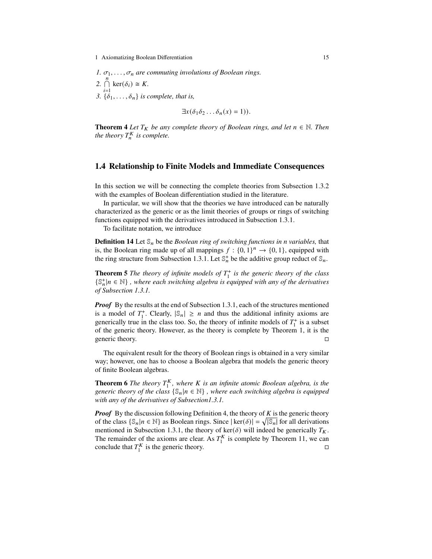\n- $$
\sigma_1, \ldots, \sigma_n
$$
 are commuting involutions of Boolean rings.
\n- $\bigcap_{i=1}^n \ker(\delta_i) \cong K$ .
\n- $\{\delta_1, \ldots, \delta_n\}$  is complete, that is,
\n

$$
\exists x(\delta_1\delta_2\ldots\delta_n(x)=1)).
$$

**Theorem 4** *Let*  $T_K$  *be any complete theory of Boolean rings, and let*  $n \in \mathbb{N}$ *. Then the theory*  $T_h^K$  *is complete.* 

## <span id="page-14-1"></span>**1.4 Relationship to Finite Models and Immediate Consequences**

In this section we will be connecting the complete theories from Subsection [1.3.2](#page-8-3) with the examples of Boolean differentiation studied in the literature.

In particular, we will show that the theories we have introduced can be naturally characterized as the generic or as the limit theories of groups or rings of switching functions equipped with the derivatives introduced in Subsection [1.3.1.](#page-6-0)

To facilitate notation, we introduce

**Definition 14** Let  $\mathcal{S}_n$  be the *Boolean ring of switching functions in n variables,* that is, the Boolean ring made up of all mappings  $f: \{0, 1\}^n \rightarrow \{0, 1\}$ , equipped with the ring structure from Subsection [1.3.1.](#page-6-0) Let  $\mathbb{S}_n^+$  be the additive group reduct of  $\mathbb{S}_n$ .

<span id="page-14-0"></span>**Theorem 5** *The theory of infinite models of*  $T_1^+$  *is the generic theory of the class*  $\{\mathbb{S}_n^{\dagger} | n \in \mathbb{N}\}$ , where each switching algebra is equipped with any of the derivatives *of Subsection [1.3.1.](#page-6-0)*

*Proof* By the results at the end of Subsection [1.3.1,](#page-6-0) each of the structures mentioned is a model of  $T_1^+$ . Clearly,  $|\mathcal{S}_n| \ge n$  and thus the additional infinity axioms are generically true in the class too. So, the theory of infinite models of  $T_1^+$  is a subset of the generic theory. However, as the theory is complete by Theorem [1,](#page-8-0) it is the generic theory.

The equivalent result for the theory of Boolean rings is obtained in a very similar way; however, one has to choose a Boolean algebra that models the generic theory of finite Boolean algebras.

**Theorem 6** *The theory*  $T_1^K$ , where *K* is an infinite atomic Boolean algebra, is the *generic theory of the class*  $\{\mathbb{S}_n | n \in \mathbb{N}\}\$ , where each switching algebra is equipped *with any of the derivatives of Subsectio[n1.3.1.](#page-6-0)*

*Proof* By the discussion following Definition [4,](#page-5-0) the theory of  $K$  is the generic theory of the class  $\{\mathbb{S}_n | n \in \mathbb{N}\}\$ as Boolean rings. Since  $|\ker(\delta)| = \sqrt{|\mathbb{S}_n|}$  for all derivations mentioned in Subsection [1.3.1,](#page-6-0) the theory of ker( $\delta$ ) will indeed be generically  $T_K$ . The remainder of the axioms are clear. As  $T_1^K$  is complete by Theorem [11,](#page-10-0) we can conclude that  $T_1^K$  is the generic theory.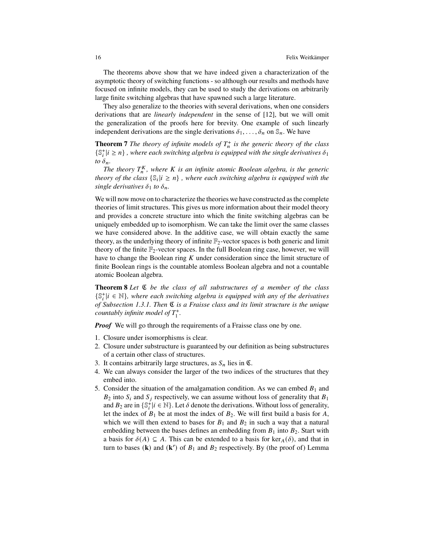The theorems above show that we have indeed given a characterization of the asymptotic theory of switching functions - so although our results and methods have focused on infinite models, they can be used to study the derivations on arbitrarily large finite switching algebras that have spawned such a large literature.

They also generalize to the theories with several derivations, when one considers derivations that are *linearly independent* in the sense of [\[12\]](#page-20-0), but we will omit the generalization of the proofs here for brevity. One example of such linearly independent derivations are the single derivations  $\delta_1, \ldots, \delta_n$  on  $\mathbb{S}_n$ . We have

**Theorem 7** *The theory of infinite models of*  $T_n^+$  *is the generic theory of the class*  $\{\mathbb{S}^+_i | i \geq n\}$ , where each switching algebra is equipped with the single derivatives  $\delta_1$ *to*  $\delta_n$ .

The theory  $T_n^K$ , where K is an infinite atomic Boolean algebra, is the generic *theory of the class*  $\{\mathbb{S}_i | i \geq n\}$ , where each switching algebra is equipped with the *single derivatives*  $\delta_1$  *to*  $\delta_n$ *.* 

We will now move on to characterize the theories we have constructed as the complete theories of limit structures. This gives us more information about their model theory and provides a concrete structure into which the finite switching algebras can be uniquely embedded up to isomorphism. We can take the limit over the same classes we have considered above. In the additive case, we will obtain exactly the same theory, as the underlying theory of infinite  $\mathbb{F}_2$ -vector spaces is both generic and limit theory of the finite  $\mathbb{F}_2$ -vector spaces. In the full Boolean ring case, however, we will have to change the Boolean ring  $K$  under consideration since the limit structure of finite Boolean rings is the countable atomless Boolean algebra and not a countable atomic Boolean algebra.

<span id="page-15-0"></span>**Theorem 8** *Let* ℭ *be the class of all substructures of a member of the class*  $\{\mathbb S_i^+ | i \in \mathbb N\}$ , where each switching algebra is equipped with any of the derivatives *of Subsection [1.3.1.](#page-6-0) Then* ℭ *is a Fraisse class and its limit structure is the unique countably infinite model of*  $T_1^+$ .

**Proof** We will go through the requirements of a Fraisse class one by one.

- 1. Closure under isomorphisms is clear.
- 2. Closure under substructure is guaranteed by our definition as being substructures of a certain other class of structures.
- 3. It contains arbitrarily large structures, as  $S_n$  lies in  $\mathfrak{C}$ .
- 4. We can always consider the larger of the two indices of the structures that they embed into.
- 5. Consider the situation of the amalgamation condition. As we can embed  $B_1$  and  $B_2$  into  $S_i$  and  $S_j$  respectively, we can assume without loss of generality that  $B_1$ and  $B_2$  are in  $\{\mathbb{S}_i^{\dagger} | i \in \mathbb{N}\}\.$  Let  $\delta$  denote the derivations. Without loss of generality, let the index of  $B_1$  be at most the index of  $B_2$ . We will first build a basis for A, which we will then extend to bases for  $B_1$  and  $B_2$  in such a way that a natural embedding between the bases defines an embedding from  $B_1$  into  $B_2$ . Start with a basis for  $\delta(A) \subseteq A$ . This can be extended to a basis for  $\ker_A(\delta)$ , and that in turn to bases  $(k)$  and  $(k')$  of  $B_1$  and  $B_2$  respectively. By (the proof of) Lemma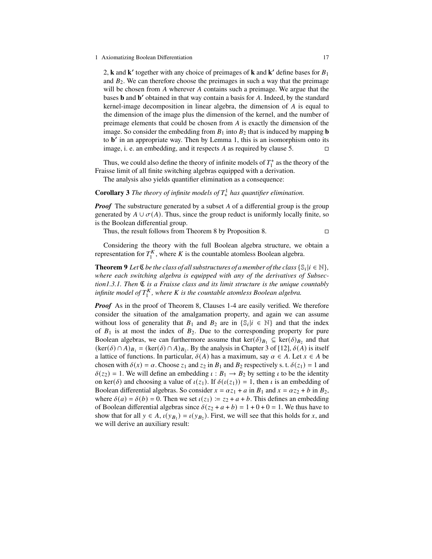[2,](#page-9-0) **k** and **k**<sup> $\prime$ </sup> together with any choice of preimages of **k** and **k**<sup> $\prime$ </sup> define bases for  $B_1$ and  $B_2$ . We can therefore choose the preimages in such a way that the preimage will be chosen from  $A$  wherever  $A$  contains such a preimage. We argue that the bases **b** and **b**' obtained in that way contain a basis for A. Indeed, by the standard kernel-image decomposition in linear algebra, the dimension of  $A$  is equal to the dimension of the image plus the dimension of the kernel, and the number of preimage elements that could be chosen from  $\vec{A}$  is exactly the dimension of the image. So consider the embedding from  $B_1$  into  $B_2$  that is induced by mapping **b** to **b'** in an appropriate way. Then by Lemma [1,](#page-8-1) this is an isomorphism onto its image, i. e. an embedding, and it respects A as required by clause 5.  $\Box$ 

Thus, we could also define the theory of infinite models of  $T_1^+$  as the theory of the Fraisse limit of all finite switching algebras equipped with a derivation.

<span id="page-16-0"></span>The analysis also yields quantifier elimination as a consequence:

**Corollary 3** *The theory of infinite models of*  $T^1$  *has quantifier elimination.* 

**Proof** The substructure generated by a subset A of a differential group is the group generated by  $A \cup \sigma(A)$ . Thus, since the group reduct is uniformly locally finite, so is the Boolean differential group.

Thus, the result follows from Theorem [8](#page-15-0) by Proposition [8.](#page-6-1)

Considering the theory with the full Boolean algebra structure, we obtain a representation for  $T_1^K$ , where K is the countable atomless Boolean algebra.

**Theorem 9** *Let*  $\mathfrak{C}$  *be the class of all substructures of a member of the class*  $\{\mathbb{S}_i | i \in \mathbb{N}\},$ *where each switching algebra is equipped with any of the derivatives of Subsectio[n1.3.1.](#page-6-0) Then* ℭ *is a Fraisse class and its limit structure is the unique countably* infinite model of  $T_1^K$ , where K is the countable atomless Boolean algebra.

*Proof* As in the proof of Theorem [8,](#page-15-0) Clauses 1-4 are easily verified. We therefore consider the situation of the amalgamation property, and again we can assume without loss of generality that  $B_1$  and  $B_2$  are in  $\{\mathbb{S}_i | i \in \mathbb{N}\}\$  and that the index of  $B_1$  is at most the index of  $B_2$ . Due to the corresponding property for pure Boolean algebras, we can furthermore assume that  $\ker(\delta)_{B_1} \subseteq \ker(\delta)_{B_2}$  and that  $(\ker(\delta) \cap A)_{B_1} = (\ker(\delta) \cap A)_{B_2}$ . By the analysis in Chapter 3 of [\[12\]](#page-20-0),  $\delta(A)$  is itself a lattice of functions. In particular,  $\delta(A)$  has a maximum, say  $\alpha \in A$ . Let  $x \in A$  be chosen with  $\delta(x) = \alpha$ . Choose  $z_1$  and  $z_2$  in  $B_1$  and  $B_2$  respectively s. t.  $\delta(z_1) = 1$  and  $\delta(z_2) = 1$ . We will define an embedding  $\iota : B_1 \to B_2$  by setting  $\iota$  to be the identity on ker( $\delta$ ) and choosing a value of  $\iota(z_1)$ . If  $\delta(\iota(z_1)) = 1$ , then  $\iota$  is an embedding of Boolean differential algebras. So consider  $x = \alpha z_1 + a$  in  $B_1$  and  $x = \alpha z_2 + b$  in  $B_2$ , where  $\delta(a) = \delta(b) = 0$ . Then we set  $\iota(z_1) = z_2 + a + b$ . This defines an embedding of Boolean differential algebras since  $\delta(z_2 + a + b) = 1 + 0 + 0 = 1$ . We thus have to show that for all  $y \in A$ ,  $\iota(y_{B_1}) = \iota(y_{B_2})$ . First, we will see that this holds for x, and we will derive an auxiliary result: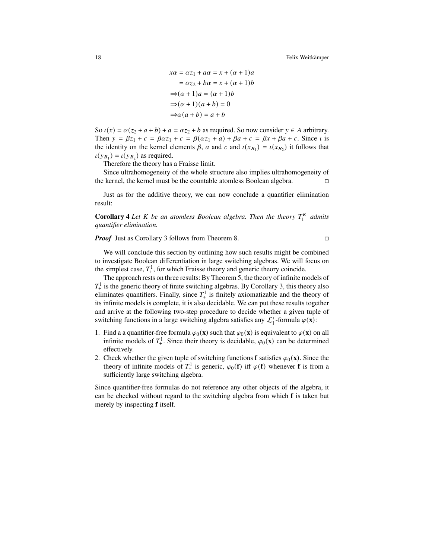$$
x\alpha = \alpha z_1 + a\alpha = x + (\alpha + 1)a
$$

$$
= \alpha z_2 + b\alpha = x + (\alpha + 1)b
$$

$$
\Rightarrow (\alpha + 1)a = (\alpha + 1)b
$$

$$
\Rightarrow (\alpha + 1)(a + b) = 0
$$

$$
\Rightarrow \alpha(a + b) = a + b
$$

So  $\iota(x) = \alpha(z_2 + a + b) + a = \alpha z_2 + b$  as required. So now consider  $y \in A$  arbitrary. Then  $y = \beta z_1 + c = \beta \alpha z_1 + c = \beta(\alpha z_1 + a) + \beta a + c = \beta x + \beta a + c$ . Since *i* is the identity on the kernel elements  $\beta$ , a and c and  $\iota(x_{B_1}) = \iota(x_{B_2})$  it follows that  $\iota(y_{B_1}) = \iota(y_{B_2})$  as required.

Therefore the theory has a Fraisse limit.

Since ultrahomogeneity of the whole structure also implies ultrahomogeneity of the kernel, the kernel must be the countable atomless Boolean algebra.

Just as for the additive theory, we can now conclude a quantifier elimination result:

**Corollary 4** Let *K* be an atomless Boolean algebra. Then the theory  $T_1^K$  admits *quantifier elimination.*

*Proof* Just as Corollary [3](#page-16-0) follows from Theorem [8.](#page-15-0) □

We will conclude this section by outlining how such results might be combined to investigate Boolean differentiation in large switching algebras. We will focus on the simplest case,  $T^1_+$ , for which Fraisse theory and generic theory coincide.

The approach rests on three results: By Theorem [5,](#page-14-0) the theory of infinite models of  $T_{+}^{1}$  is the generic theory of finite switching algebras. By Corollary [3,](#page-16-0) this theory also eliminates quantifiers. Finally, since  $T_{+}^{1}$  is finitely axiomatizable and the theory of its infinite models is complete, it is also decidable. We can put these results together and arrive at the following two-step procedure to decide whether a given tuple of switching functions in a large switching algebra satisfies any  $\mathcal{L}_1^+$ -formula  $\varphi(\mathbf{x})$ :

- 1. Find a a quantifier-free formula  $\varphi_0(\mathbf{x})$  such that  $\varphi_0(\mathbf{x})$  is equivalent to  $\varphi(\mathbf{x})$  on all infinite models of  $T^1_+$ . Since their theory is decidable,  $\varphi_0(\mathbf{x})$  can be determined effectively.
- 2. Check whether the given tuple of switching functions **f** satisfies  $\varphi_0(\mathbf{x})$ . Since the theory of infinite models of  $T_+^1$  is generic,  $\varphi_0(\mathbf{f})$  iff  $\varphi(\mathbf{f})$  whenever **f** is from a sufficiently large switching algebra.

Since quantifier-free formulas do not reference any other objects of the algebra, it can be checked without regard to the switching algebra from which **f** is taken but merely by inspecting **f** itself.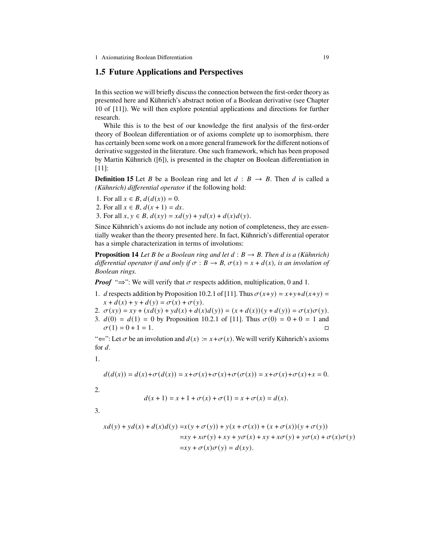## **1.5 Future Applications and Perspectives**

In this section we will briefly discuss the connection between the first-order theory as presented here and Kühnrich's abstract notion of a Boolean derivative (see Chapter 10 of [\[11\]](#page-20-1)). We will then explore potential applications and directions for further research.

While this is to the best of our knowledge the first analysis of the first-order theory of Boolean differentiation or of axioms complete up to isomorphism, there has certainly been some work on a more general framework for the different notions of derivative suggested in the literature. One such framework, which has been proposed by Martin Kühnrich ([\[6\]](#page-20-2)), is presented in the chapter on Boolean differentiation in [\[11\]](#page-20-1):

**Definition 15** Let *B* be a Boolean ring and let  $d : B \rightarrow B$ . Then *d* is called a *(Kühnrich) differential operator* if the following hold:

- 1. For all  $x \in B$ ,  $d(d(x)) = 0$ .
- 2. For all  $x \in B$ ,  $d(x + 1) = dx$ .
- 3. For all  $x, y \in B$ ,  $d(xy) = xd(y) + yd(x) + d(x)d(y)$ .

Since Kühnrich's axioms do not include any notion of completeness, they are essentially weaker than the theory presented here. In fact, Kühnrich's differential operator has a simple characterization in terms of involutions:

**Proposition 14** *Let B be a Boolean ring and let*  $d : B \rightarrow B$ *. Then d is a (Kühnrich) differential operator if and only if*  $\sigma : B \to B$ ,  $\sigma(x) = x + d(x)$ , *is an involution of Boolean rings.*

*Proof* " $\Rightarrow$ ": We will verify that  $\sigma$  respects addition, multiplication, 0 and 1.

1. *d* respects addition by Proposition 10.2.1 of [\[11\]](#page-20-1). Thus  $\sigma(x+y) = x+y+d(x+y) =$  $x + d(x) + y + d(y) = \sigma(x) + \sigma(y).$ 

2. 
$$
\sigma(xy) = xy + (x d(y) + y d(x) + d(x) d(y)) = (x + d(x))(y + d(y)) = \sigma(x)\sigma(y)
$$
.

3.  $d(0) = d(1) = 0$  by Proposition 10.2.1 of [\[11\]](#page-20-1). Thus  $\sigma(0) = 0 + 0 = 1$  and  $\sigma(1) = 0 + 1 = 1.$ 

" $\Leftarrow$ ": Let  $\sigma$  be an involution and  $d(x) := x + \sigma(x)$ . We will verify Kühnrich's axioms for  $d$ .

$$
1. \nonumber
$$

$$
d(d(x)) = d(x) + \sigma(d(x)) = x + \sigma(x) + \sigma(x) + \sigma(\sigma(x)) = x + \sigma(x) + \sigma(x) + x = 0.
$$

2.

$$
d(x + 1) = x + 1 + \sigma(x) + \sigma(1) = x + \sigma(x) = d(x).
$$

3.

$$
xd(y) + yd(x) + d(x)d(y) = x(y + \sigma(y)) + y(x + \sigma(x)) + (x + \sigma(x))(y + \sigma(y))
$$
  

$$
= xy + x\sigma(y) + xy + y\sigma(x) + xy + x\sigma(y) + y\sigma(x) + \sigma(x)\sigma(y)
$$
  

$$
= xy + \sigma(x)\sigma(y) = d(xy).
$$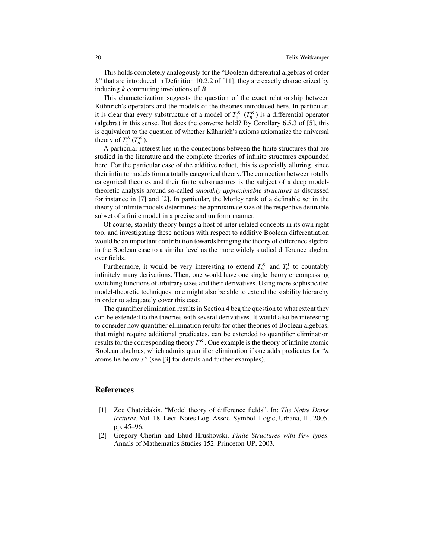This holds completely analogously for the "Boolean differential algebras of order  $k$ " that are introduced in Definition 10.2.2 of [\[11\]](#page-20-1); they are exactly characterized by inducing  $k$  commuting involutions of  $B$ .

This characterization suggests the question of the exact relationship between Kühnrich's operators and the models of the theories introduced here. In particular, it is clear that every substructure of a model of  $T_1^K$   $(T_n^K)$  is a differential operator (algebra) in this sense. But does the converse hold? By Corollary 6.5.3 of [\[5\]](#page-20-5), this is equivalent to the question of whether Kühnrich's axioms axiomatize the universal theory of  $T_1^K(T_n^K)$ .

A particular interest lies in the connections between the finite structures that are studied in the literature and the complete theories of infinite structures expounded here. For the particular case of the additive reduct, this is especially alluring, since their infinite models form a totally categorical theory. The connection between totally categorical theories and their finite substructures is the subject of a deep modeltheoretic analysis around so-called *smoothly approximable structures* as discussed for instance in [\[7\]](#page-20-9) and [\[2\]](#page-19-1). In particular, the Morley rank of a definable set in the theory of infinite models determines the approximate size of the respective definable subset of a finite model in a precise and uniform manner.

Of course, stability theory brings a host of inter-related concepts in its own right too, and investigating these notions with respect to additive Boolean differentiation would be an important contribution towards bringing the theory of difference algebra in the Boolean case to a similar level as the more widely studied difference algebra over fields.

Furthermore, it would be very interesting to extend  $T_h^K$  and  $T_h^+$  to countably infinitely many derivations. Then, one would have one single theory encompassing switching functions of arbitrary sizes and their derivatives. Using more sophisticated model-theoretic techniques, one might also be able to extend the stability hierarchy in order to adequately cover this case.

The quantifier elimination results in Section 4 beg the question to what extent they can be extended to the theories with several derivatives. It would also be interesting to consider how quantifier elimination results for other theories of Boolean algebras, that might require additional predicates, can be extended to quantifier elimination results for the corresponding theory  $T_1^K$ . One example is the theory of infinite atomic Boolean algebras, which admits quantifier elimination if one adds predicates for " $n$ atoms lie below  $x''$  (see [\[3\]](#page-20-10) for details and further examples).

## **References**

- <span id="page-19-0"></span>[1] Zoé Chatzidakis. "Model theory of difference fields". In: *The Notre Dame lectures*. Vol. 18. Lect. Notes Log. Assoc. Symbol. Logic, Urbana, IL, 2005, pp. 45–96.
- <span id="page-19-1"></span>[2] Gregory Cherlin and Ehud Hrushovski. *Finite Structures with Few types*. Annals of Mathematics Studies 152. Princeton UP, 2003.